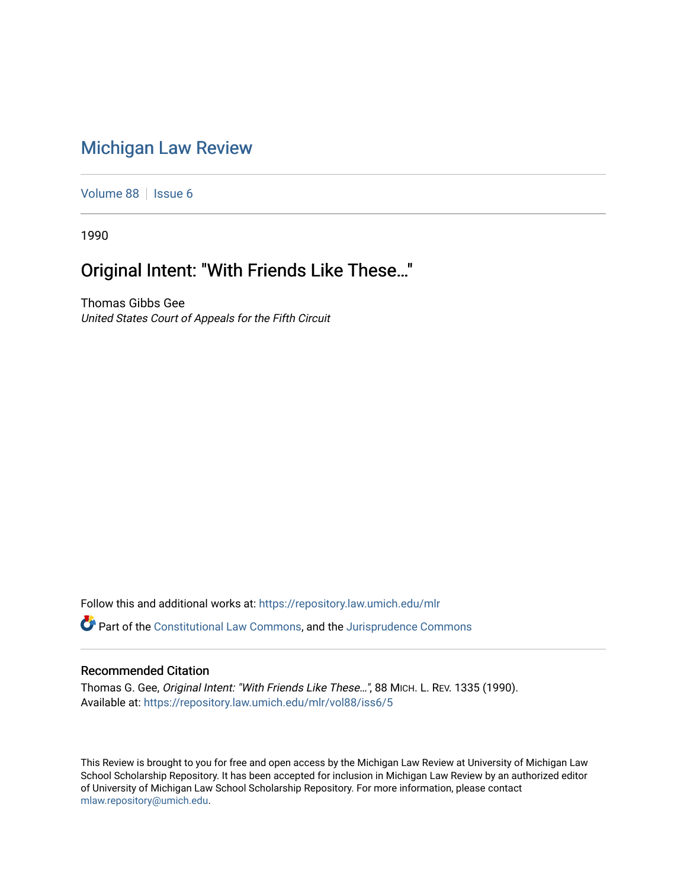## [Michigan Law Review](https://repository.law.umich.edu/mlr)

[Volume 88](https://repository.law.umich.edu/mlr/vol88) | [Issue 6](https://repository.law.umich.edu/mlr/vol88/iss6)

1990

# Original Intent: "With Friends Like These…"

Thomas Gibbs Gee United States Court of Appeals for the Fifth Circuit

Follow this and additional works at: [https://repository.law.umich.edu/mlr](https://repository.law.umich.edu/mlr?utm_source=repository.law.umich.edu%2Fmlr%2Fvol88%2Fiss6%2F5&utm_medium=PDF&utm_campaign=PDFCoverPages) 

**P** Part of the [Constitutional Law Commons,](http://network.bepress.com/hgg/discipline/589?utm_source=repository.law.umich.edu%2Fmlr%2Fvol88%2Fiss6%2F5&utm_medium=PDF&utm_campaign=PDFCoverPages) and the Jurisprudence Commons

#### Recommended Citation

Thomas G. Gee, Original Intent: "With Friends Like These…", 88 MICH. L. REV. 1335 (1990). Available at: [https://repository.law.umich.edu/mlr/vol88/iss6/5](https://repository.law.umich.edu/mlr/vol88/iss6/5?utm_source=repository.law.umich.edu%2Fmlr%2Fvol88%2Fiss6%2F5&utm_medium=PDF&utm_campaign=PDFCoverPages)

This Review is brought to you for free and open access by the Michigan Law Review at University of Michigan Law School Scholarship Repository. It has been accepted for inclusion in Michigan Law Review by an authorized editor of University of Michigan Law School Scholarship Repository. For more information, please contact [mlaw.repository@umich.edu.](mailto:mlaw.repository@umich.edu)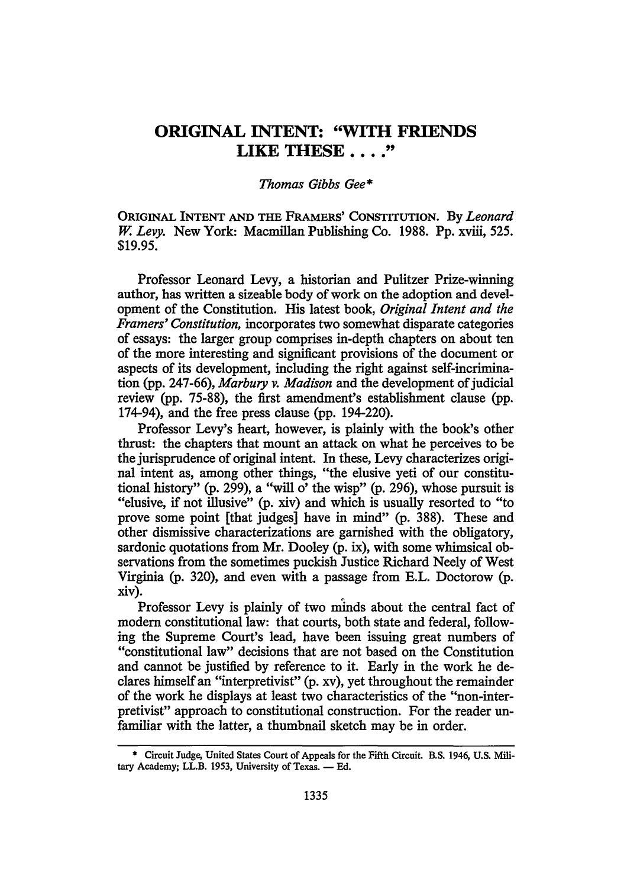### **ORIGINAL INTENT: "WITH FRIENDS LIKE THESE** .... "

#### *Thomas Gibbs Gee\**

ORIGINAL INTENT AND THE FRAMERS' CONSTITUTION. By *Leonard*  W. *Levy.* New York: Macmillan Publishing Co. 1988. Pp. xviii, 525. \$19.95.

Professor Leonard Levy, a historian and Pulitzer Prize-winning author, has written a sizeable body of work on the adoption and development of the Constitution. His latest book, *Original Intent and the Framers' Constitution,* incorporates two somewhat disparate categories of essays: the larger group comprises in-depth chapters on about ten of the more interesting and significant provisions of the document or aspects of its development, including the right against self-incrimination (pp. 247-66), *Marbury v. Madison* and the development of judicial review (pp. 75-88), the first amendment's establishment clause (pp. 174-94), and the free press clause (pp. 194-220).

Professor Levy's heart, however, is plainly with the book's other thrust: the chapters that mount an attack on what he perceives to be the jurisprudence of original intent. In these, Levy characterizes original intent as, among other things, "the elusive yeti of our constitutional history" (p. 299), a "will  $\sigma$ ' the wisp" (p. 296), whose pursuit is "elusive, if not illusive" (p. xiv) and which is usually resorted to "to prove some point [that judges] have in mind" (p. 388). These and other dismissive characterizations are garnished with the obligatory, sardonic quotations from Mr. Dooley (p. ix), with some whimsical observations from the sometimes puckish Justice Richard Neely of West Virginia (p. 320), and even with a passage from E.L. Doctorow (p. xiv).

Professor Levy is plainly of two minds about the central fact of modem constitutional law: that courts, both state and federal, following the Supreme Court's lead, have been issuing great numbers of "constitutional law" decisions that are not based on the Constitution and cannot be justified by reference to it. Early in the work he declares himself an "interpretivist" (p. xv), yet throughout the remainder of the work he displays at least two characteristics of the "non-interpretivist" approach to constitutional construction. For the reader unfamiliar with the latter, a thumbnail sketch may be in order.

<sup>\*</sup> Circuit Judge, United States Court of Appeals for the Fifth Circuit. B.S. 1946, U.S. Military Academy; LL.B. 1953, University of Texas. - Ed.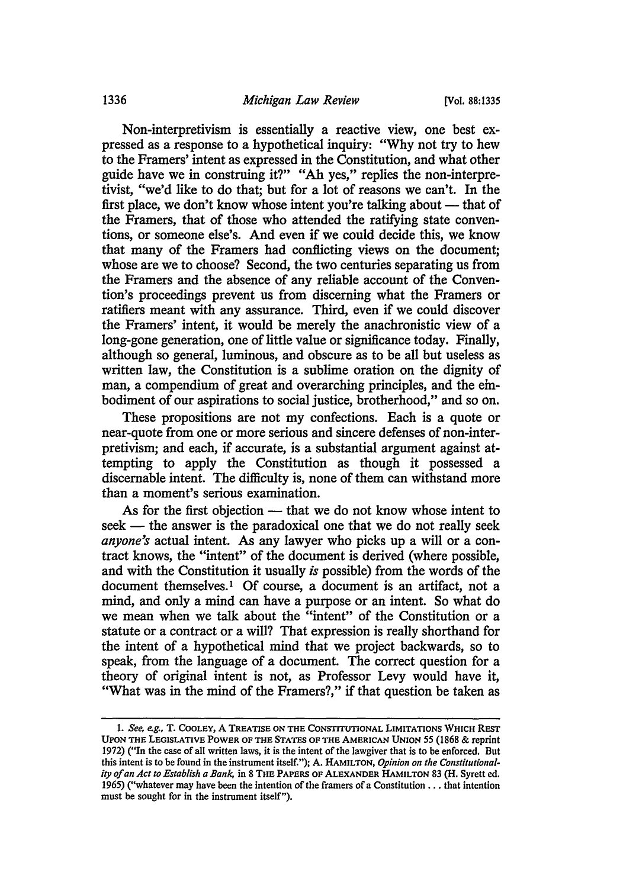Non-interpretivism is essentially a reactive view, one best expressed as a response to a hypothetical inquiry: "Why not try to hew to the Framers' intent as expressed in the Constitution, and what other guide have we in construing it?" "Ah yes," replies the non-interpretivist, "we'd like to do that; but for a lot of reasons we can't. In the first place, we don't know whose intent you're talking about  $-$  that of the Framers, that of those who attended the ratifying state conventions, or someone else's. And even if we could decide this, we know that many of the Framers had conflicting views on the document; whose are we to choose? Second, the two centuries separating us from the Framers and the absence of any reliable account of the Convention's proceedings prevent us from discerning what the Framers or ratifiers meant with any assurance. Third, even if we could discover the Framers' intent, it would be merely the anachronistic view of a long-gone generation, one of little value or significance today. Finally, although so general, luminous, and obscure as to be all but useless as written law, the Constitution is a sublime oration on the dignity of man, a compendium of great and overarching principles, and the embodiment of our aspirations to social justice, brotherhood," and so on.

These propositions are not my confections. Each is a quote or near-quote from one or more serious and sincere defenses of non-interpretivism; and each, if accurate, is a substantial argument against attempting to apply the Constitution as though it possessed a discemable intent. The difficulty is, none of them can withstand more than a moment's serious examination.

As for the first objection — that we do not know whose intent to seek — the answer is the paradoxical one that we do not really seek *anyone's* actual intent. As any lawyer who picks up a will or a contract knows, the "intent" of the document is derived (where possible, and with the Constitution it usually *is* possible) from the words of the document themselves.<sup>1</sup> Of course, a document is an artifact, not a mind, and only a mind can have a purpose or an intent. So what do we mean when we talk about the "intent" of the Constitution or a statute or a contract or a will? That expression is really shorthand for the intent of a hypothetical mind that we project backwards, so to speak, from the language of a document. The correct question for a theory of original intent is not, as Professor Levy would have it, "What was in the mind of the Framers?," if that question be taken as

<sup>1.</sup> *See, e.g.,* T. COOLEY, A TREATISE ON THE CONSTITUTIONAL LIMITATIONS WHICH REST UPON THE LEGISLATIVE POWER OF THE STATES OF THE AMERICAN UNION SS (1868 & reprint 1972) ("In the case of all written laws, it is the intent of the lawgiver that is to be enforced. But this intent is to be found in the instrument itself."); A. HAMILTON, *Opinion on the Constitutionality of an Act to Establish a Bank,* in 8 THE PAPERS OF ALEXANDER HAMILTON 83 (H. Syrett ed. 196S) ("whatever may have been the intention of the framers of a Constitution ..• that intention must be sought for in the instrument itself").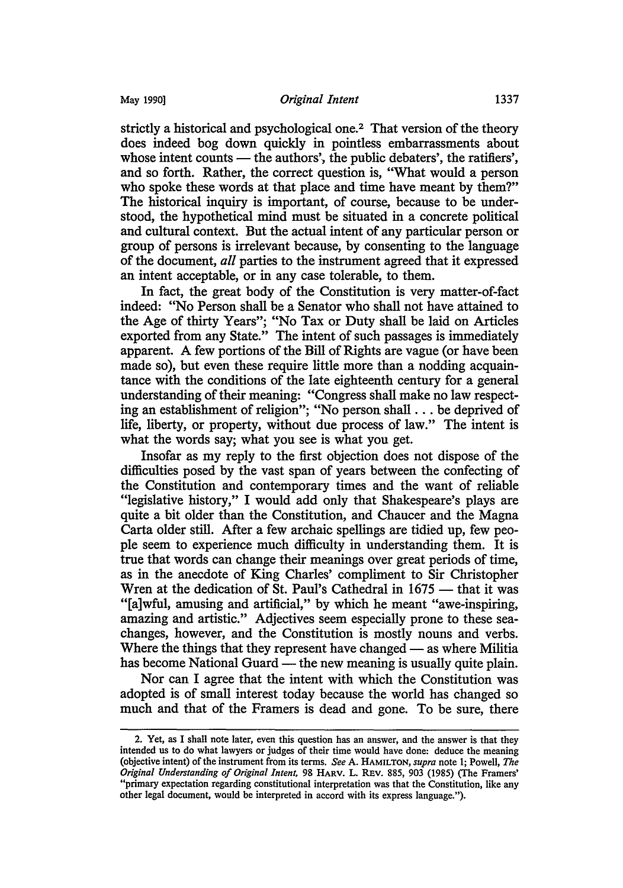strictly a historical and psychological one.<sup>2</sup> That version of the theory does indeed bog down quickly in pointless embarrassments about whose intent counts  $-$  the authors', the public debaters', the ratifiers', and so forth. Rather, the correct question is, "What would a person who spoke these words at that place and time have meant by them?" The historical inquiry is important, of course, because to be understood, the hypothetical mind must be situated in a concrete political and cultural context. But the actual intent of any particular person or group of persons is irrelevant because, by consenting to the language of the document, *all* parties to the instrument agreed that it expressed an intent acceptable, or in any case tolerable, to them.

In fact, the great body of the Constitution is very matter-of-fact indeed: "No Person shall be a Senator who shall not have attained to the Age of thirty Years"; "No Tax or Duty shall be laid on Articles exported from any State." The intent of such passages is immediately apparent. A few portions of the Bill of Rights are vague (or have been made so), but even these require little more than a nodding acquaintance with the conditions of the late eighteenth century for a general understanding of their meaning: "Congress shall make no law respecting an establishment of religion"; "No person shall ... be deprived of life, liberty, or property, without due process of law." The intent is what the words say; what you see is what you get.

Insofar as my reply to the first objection does not dispose of the difficulties posed by the vast span of years between the confecting of the Constitution and contemporary times and the want of reliable "legislative history," I would add only that Shakespeare's plays are quite a bit older than the Constitution, and Chaucer and the Magna Carta older still. After a few archaic spellings are tidied up, few people seem to experience much difficulty in understanding them. It is true that words can change their meanings over great periods of time, as in the anecdote of King Charles' compliment to Sir Christopher Wren at the dedication of St. Paul's Cathedral in 1675 - that it was "[a]wful, amusing and artificial," by which he meant "awe-inspiring, amazing and artistic." Adjectives seem especially prone to these seachanges, however, and the Constitution is mostly nouns and verbs. Where the things that they represent have changed  $-$  as where Militia has become National Guard — the new meaning is usually quite plain.

Nor can I agree that the intent with which the Constitution was adopted is of small interest today because the world has changed so much and that of the Framers is dead and gone. To be sure, there

<sup>2.</sup> Yet, as I shall note later, even this question has an answer, and the answer is that they intended us to do what lawyers or judges of their time would have done: deduce the meaning (objective intent) of the instrument from its terms. *See* A. HAMILTON, *supra* note 1; Powell, *The Original Understanding of Original Intent,* 98 HARV. L. REv. 885, 903 (1985) (The Framers' "primary expectation regarding constitutional interpretation was that the Constitution, like any other legal document, would be interpreted in accord with its express language.").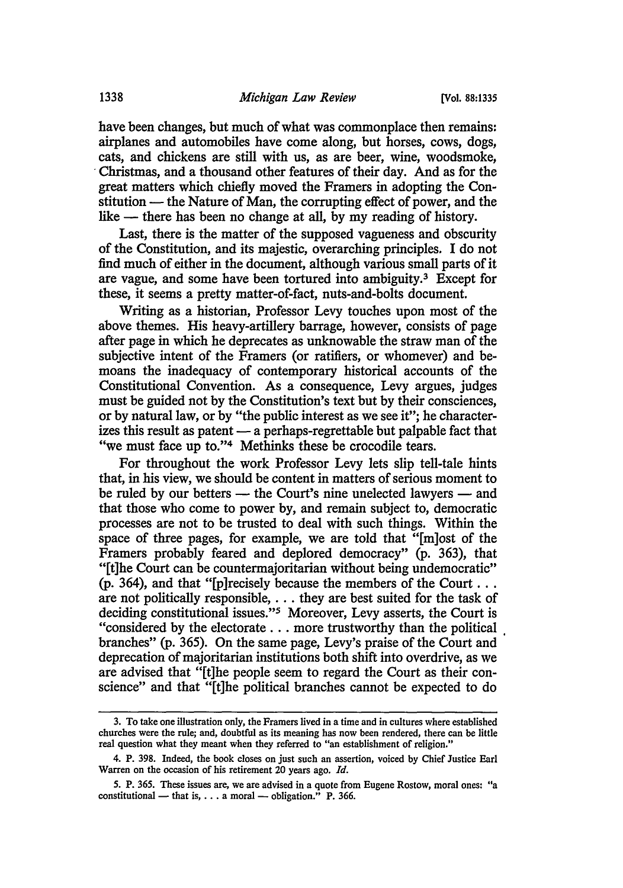have been changes, but much of what was commonplace then remains: airplanes and automobiles have come along, but horses, cows, dogs, cats, and chickens are still with us, as are beer, wine, woodsmoke, · Christmas, and a thousand other features of their day. And as for the great matters which chiefly moved the Framers in adopting the Constitution — the Nature of Man, the corrupting effect of power, and the like — there has been no change at all, by my reading of history.

Last, there is the matter of the supposed vagueness and obscurity of the Constitution, and its majestic, overarching principles. I do not find much of either in the document, although various small parts of it are vague, and some have been tortured into ambiguity.3 Except for these, it seems a pretty matter-of-fact, nuts-and-bolts document.

Writing as a historian, Professor Levy touches upon most of the above themes. His heavy-artillery barrage, however, consists of page after page in which he deprecates as unknowable the straw man of the subjective intent of the Framers (or ratifiers, or whomever) and bemoans the inadequacy of contemporary historical accounts of the Constitutional Convention. As a consequence, Levy argues, judges must be guided not by the Constitution's text but by their consciences, or by natural law, or by "the public interest as we see it"; he characterizes this result as patent — a perhaps-regrettable but palpable fact that "we must face up to."<sup>4</sup> Methinks these be crocodile tears.

For throughout the work Professor Levy lets slip tell-tale hints that, in his view, we should be content in matters of serious moment to be ruled by our betters  $-$  the Court's nine unelected lawyers  $-$  and that those who come to power by, and remain subject to, democratic processes are not to be trusted to deal with such things. Within the space of three pages, for example, we are told that "[m]ost of the Framers probably feared and deplored democracy" (p. 363), that "[t]he Court can be countermajoritarian without being undemocratic" (p. 364), and that "[p] recisely because the members of the Court  $\dots$ are not politically responsible, ... they are best suited for the task of deciding constitutional issues."5 Moreover, Levy asserts, the Court is "considered by the electorate ... more trustworthy than the political . branches" (p. 365). On the same page, Levy's praise of the Court and deprecation of majoritarian institutions both shift into overdrive, as we are advised that "[t]he people seem to regard the Court as their conscience" and that "[t]he political branches cannot be expected to do

<sup>3.</sup> To take one illustration only, the Framers lived in a time and in cultures where established churches were the rule; and, doubtful as its meaning has now been rendered, there can be little real question what they meant when they referred to "an establishment of religion."

<sup>4.</sup> P. 398. Indeed, the book closes on just such an assertion, voiced by Chief Justice Earl Warren on the occasion of his retirement 20 years ago. *Id.* 

<sup>5.</sup> P. 365. These issues are, we are advised in a quote from Eugene Rostow, moral ones: "a constitutional — that is,  $\dots$  a moral — obligation." P. 366.